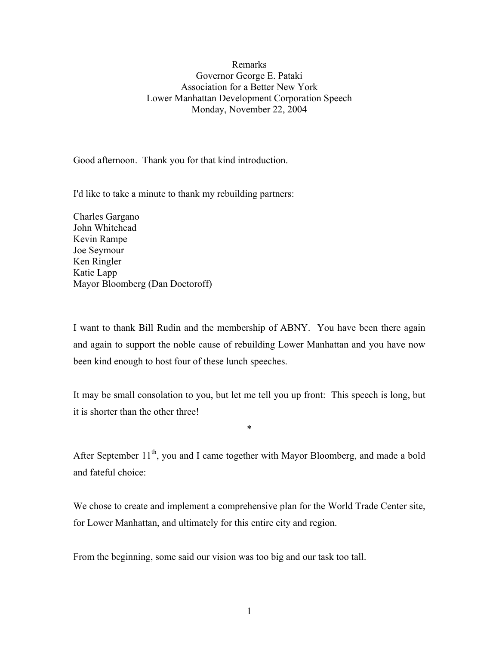## Remarks Governor George E. Pataki Association for a Better New York Lower Manhattan Development Corporation Speech Monday, November 22, 2004

Good afternoon. Thank you for that kind introduction.

I'd like to take a minute to thank my rebuilding partners:

Charles Gargano John Whitehead Kevin Rampe Joe Seymour Ken Ringler Katie Lapp Mayor Bloomberg (Dan Doctoroff)

I want to thank Bill Rudin and the membership of ABNY. You have been there again and again to support the noble cause of rebuilding Lower Manhattan and you have now been kind enough to host four of these lunch speeches.

It may be small consolation to you, but let me tell you up front: This speech is long, but it is shorter than the other three!

\*

After September 11<sup>th</sup>, you and I came together with Mayor Bloomberg, and made a bold and fateful choice:

We chose to create and implement a comprehensive plan for the World Trade Center site, for Lower Manhattan, and ultimately for this entire city and region.

From the beginning, some said our vision was too big and our task too tall.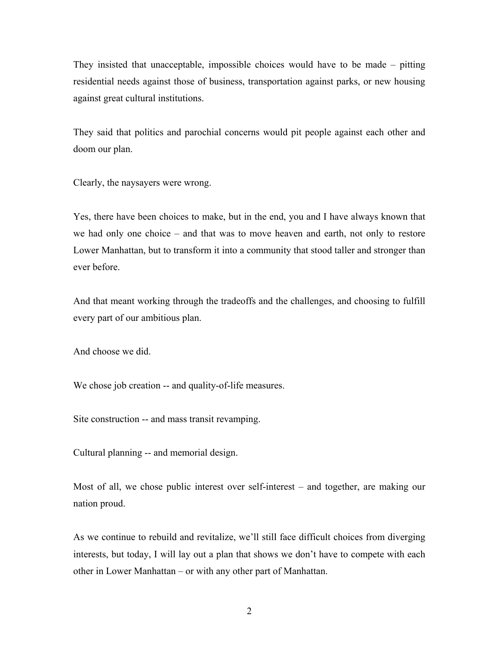They insisted that unacceptable, impossible choices would have to be made – pitting residential needs against those of business, transportation against parks, or new housing against great cultural institutions.

They said that politics and parochial concerns would pit people against each other and doom our plan.

Clearly, the naysayers were wrong.

Yes, there have been choices to make, but in the end, you and I have always known that we had only one choice – and that was to move heaven and earth, not only to restore Lower Manhattan, but to transform it into a community that stood taller and stronger than ever before.

And that meant working through the tradeoffs and the challenges, and choosing to fulfill every part of our ambitious plan.

And choose we did.

We chose job creation -- and quality-of-life measures.

Site construction -- and mass transit revamping.

Cultural planning -- and memorial design.

Most of all, we chose public interest over self-interest – and together, are making our nation proud.

As we continue to rebuild and revitalize, we'll still face difficult choices from diverging interests, but today, I will lay out a plan that shows we don't have to compete with each other in Lower Manhattan – or with any other part of Manhattan.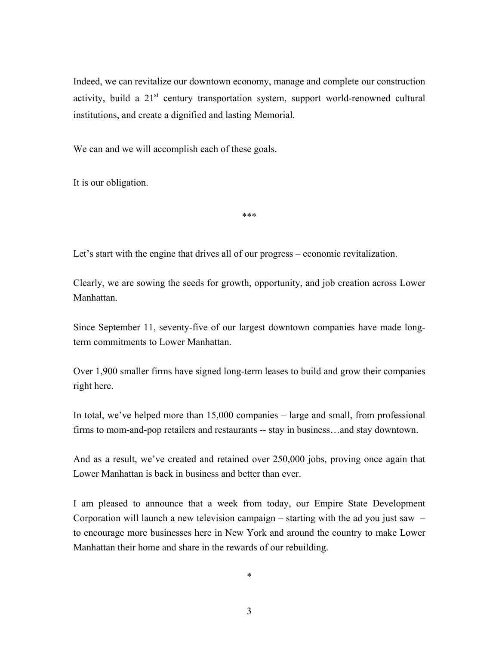Indeed, we can revitalize our downtown economy, manage and complete our construction activity, build a  $21<sup>st</sup>$  century transportation system, support world-renowned cultural institutions, and create a dignified and lasting Memorial.

We can and we will accomplish each of these goals.

It is our obligation.

\*\*\*

Let's start with the engine that drives all of our progress – economic revitalization.

Clearly, we are sowing the seeds for growth, opportunity, and job creation across Lower **Manhattan** 

Since September 11, seventy-five of our largest downtown companies have made longterm commitments to Lower Manhattan.

Over 1,900 smaller firms have signed long-term leases to build and grow their companies right here.

In total, we've helped more than 15,000 companies – large and small, from professional firms to mom-and-pop retailers and restaurants -- stay in business…and stay downtown.

And as a result, we've created and retained over 250,000 jobs, proving once again that Lower Manhattan is back in business and better than ever.

I am pleased to announce that a week from today, our Empire State Development Corporation will launch a new television campaign – starting with the ad you just saw – to encourage more businesses here in New York and around the country to make Lower Manhattan their home and share in the rewards of our rebuilding.

\*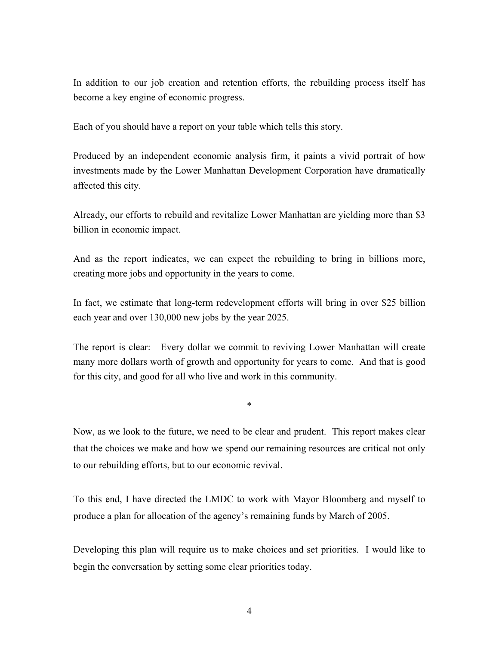In addition to our job creation and retention efforts, the rebuilding process itself has become a key engine of economic progress.

Each of you should have a report on your table which tells this story.

Produced by an independent economic analysis firm, it paints a vivid portrait of how investments made by the Lower Manhattan Development Corporation have dramatically affected this city.

Already, our efforts to rebuild and revitalize Lower Manhattan are yielding more than \$3 billion in economic impact.

And as the report indicates, we can expect the rebuilding to bring in billions more, creating more jobs and opportunity in the years to come.

In fact, we estimate that long-term redevelopment efforts will bring in over \$25 billion each year and over 130,000 new jobs by the year 2025.

The report is clear: Every dollar we commit to reviving Lower Manhattan will create many more dollars worth of growth and opportunity for years to come. And that is good for this city, and good for all who live and work in this community.

\*

Now, as we look to the future, we need to be clear and prudent. This report makes clear that the choices we make and how we spend our remaining resources are critical not only to our rebuilding efforts, but to our economic revival.

To this end, I have directed the LMDC to work with Mayor Bloomberg and myself to produce a plan for allocation of the agency's remaining funds by March of 2005.

Developing this plan will require us to make choices and set priorities. I would like to begin the conversation by setting some clear priorities today.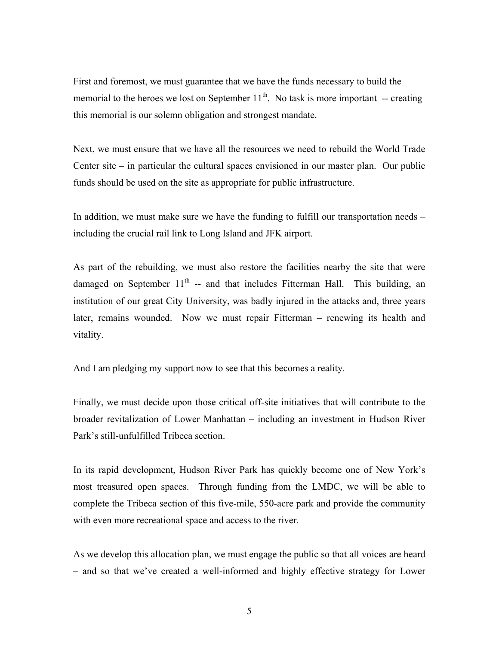First and foremost, we must guarantee that we have the funds necessary to build the memorial to the heroes we lost on September  $11<sup>th</sup>$ . No task is more important -- creating this memorial is our solemn obligation and strongest mandate.

Next, we must ensure that we have all the resources we need to rebuild the World Trade Center site – in particular the cultural spaces envisioned in our master plan. Our public funds should be used on the site as appropriate for public infrastructure.

In addition, we must make sure we have the funding to fulfill our transportation needs – including the crucial rail link to Long Island and JFK airport.

As part of the rebuilding, we must also restore the facilities nearby the site that were damaged on September  $11<sup>th</sup>$  -- and that includes Fitterman Hall. This building, an institution of our great City University, was badly injured in the attacks and, three years later, remains wounded. Now we must repair Fitterman – renewing its health and vitality.

And I am pledging my support now to see that this becomes a reality.

Finally, we must decide upon those critical off-site initiatives that will contribute to the broader revitalization of Lower Manhattan – including an investment in Hudson River Park's still-unfulfilled Tribeca section.

In its rapid development, Hudson River Park has quickly become one of New York's most treasured open spaces. Through funding from the LMDC, we will be able to complete the Tribeca section of this five-mile, 550-acre park and provide the community with even more recreational space and access to the river.

As we develop this allocation plan, we must engage the public so that all voices are heard – and so that we've created a well-informed and highly effective strategy for Lower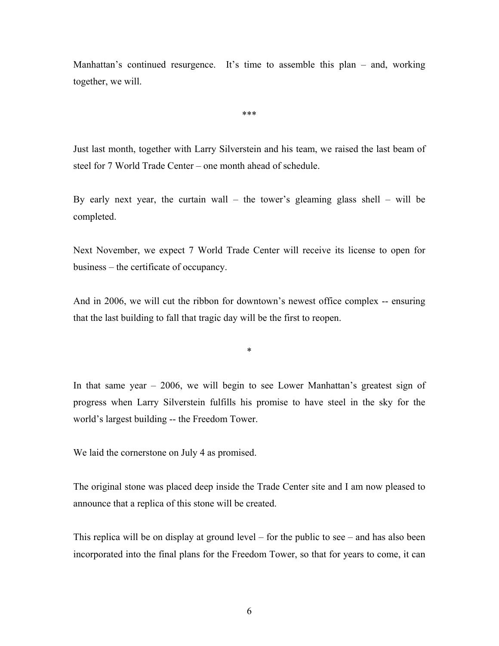Manhattan's continued resurgence. It's time to assemble this plan – and, working together, we will.

\*\*\*

Just last month, together with Larry Silverstein and his team, we raised the last beam of steel for 7 World Trade Center – one month ahead of schedule.

By early next year, the curtain wall – the tower's gleaming glass shell – will be completed.

Next November, we expect 7 World Trade Center will receive its license to open for business – the certificate of occupancy.

And in 2006, we will cut the ribbon for downtown's newest office complex -- ensuring that the last building to fall that tragic day will be the first to reopen.

\*

In that same year – 2006, we will begin to see Lower Manhattan's greatest sign of progress when Larry Silverstein fulfills his promise to have steel in the sky for the world's largest building -- the Freedom Tower.

We laid the cornerstone on July 4 as promised.

The original stone was placed deep inside the Trade Center site and I am now pleased to announce that a replica of this stone will be created.

This replica will be on display at ground level – for the public to see – and has also been incorporated into the final plans for the Freedom Tower, so that for years to come, it can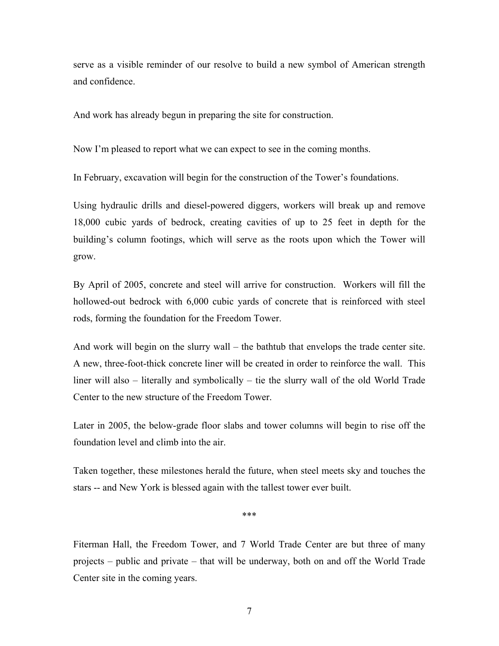serve as a visible reminder of our resolve to build a new symbol of American strength and confidence.

And work has already begun in preparing the site for construction.

Now I'm pleased to report what we can expect to see in the coming months.

In February, excavation will begin for the construction of the Tower's foundations.

Using hydraulic drills and diesel-powered diggers, workers will break up and remove 18,000 cubic yards of bedrock, creating cavities of up to 25 feet in depth for the building's column footings, which will serve as the roots upon which the Tower will grow.

By April of 2005, concrete and steel will arrive for construction. Workers will fill the hollowed-out bedrock with 6,000 cubic yards of concrete that is reinforced with steel rods, forming the foundation for the Freedom Tower.

And work will begin on the slurry wall – the bathtub that envelops the trade center site. A new, three-foot-thick concrete liner will be created in order to reinforce the wall. This liner will also – literally and symbolically – tie the slurry wall of the old World Trade Center to the new structure of the Freedom Tower.

Later in 2005, the below-grade floor slabs and tower columns will begin to rise off the foundation level and climb into the air.

Taken together, these milestones herald the future, when steel meets sky and touches the stars -- and New York is blessed again with the tallest tower ever built.

\*\*\*

Fiterman Hall, the Freedom Tower, and 7 World Trade Center are but three of many projects – public and private – that will be underway, both on and off the World Trade Center site in the coming years.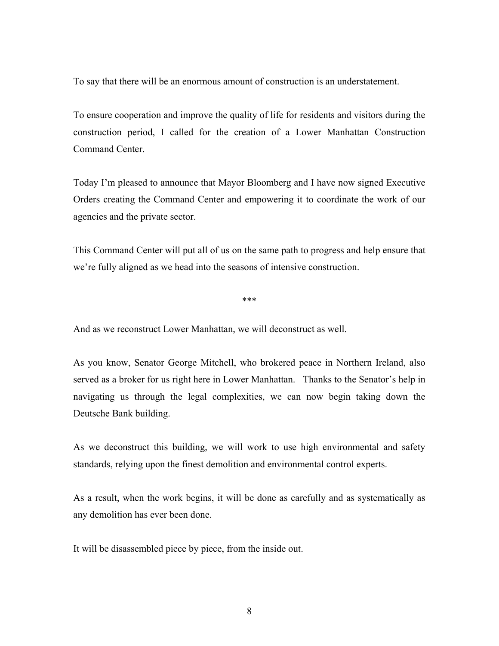To say that there will be an enormous amount of construction is an understatement.

To ensure cooperation and improve the quality of life for residents and visitors during the construction period, I called for the creation of a Lower Manhattan Construction Command Center.

Today I'm pleased to announce that Mayor Bloomberg and I have now signed Executive Orders creating the Command Center and empowering it to coordinate the work of our agencies and the private sector.

This Command Center will put all of us on the same path to progress and help ensure that we're fully aligned as we head into the seasons of intensive construction.

\*\*\*

And as we reconstruct Lower Manhattan, we will deconstruct as well.

As you know, Senator George Mitchell, who brokered peace in Northern Ireland, also served as a broker for us right here in Lower Manhattan. Thanks to the Senator's help in navigating us through the legal complexities, we can now begin taking down the Deutsche Bank building.

As we deconstruct this building, we will work to use high environmental and safety standards, relying upon the finest demolition and environmental control experts.

As a result, when the work begins, it will be done as carefully and as systematically as any demolition has ever been done.

It will be disassembled piece by piece, from the inside out.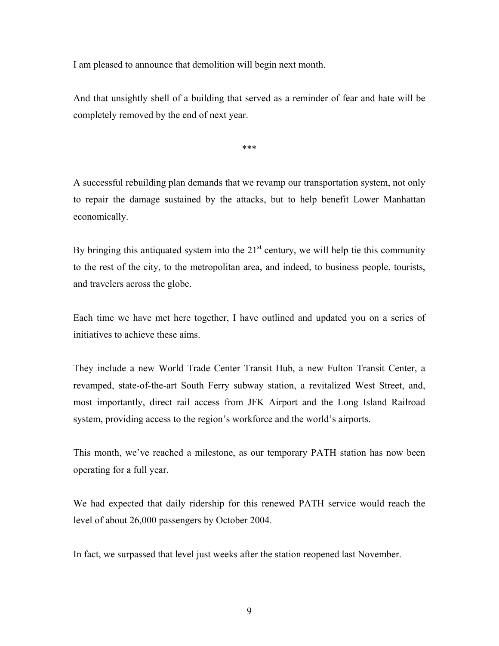I am pleased to announce that demolition will begin next month.

And that unsightly shell of a building that served as a reminder of fear and hate will be completely removed by the end of next year.

\*\*\*

A successful rebuilding plan demands that we revamp our transportation system, not only to repair the damage sustained by the attacks, but to help benefit Lower Manhattan economically.

By bringing this antiquated system into the  $21<sup>st</sup>$  century, we will help tie this community to the rest of the city, to the metropolitan area, and indeed, to business people, tourists, and travelers across the globe.

Each time we have met here together, I have outlined and updated you on a series of initiatives to achieve these aims.

They include a new World Trade Center Transit Hub, a new Fulton Transit Center, a revamped, state-of-the-art South Ferry subway station, a revitalized West Street, and, most importantly, direct rail access from JFK Airport and the Long Island Railroad system, providing access to the region's workforce and the world's airports.

This month, we've reached a milestone, as our temporary PATH station has now been operating for a full year.

We had expected that daily ridership for this renewed PATH service would reach the level of about 26,000 passengers by October 2004.

In fact, we surpassed that level just weeks after the station reopened last November.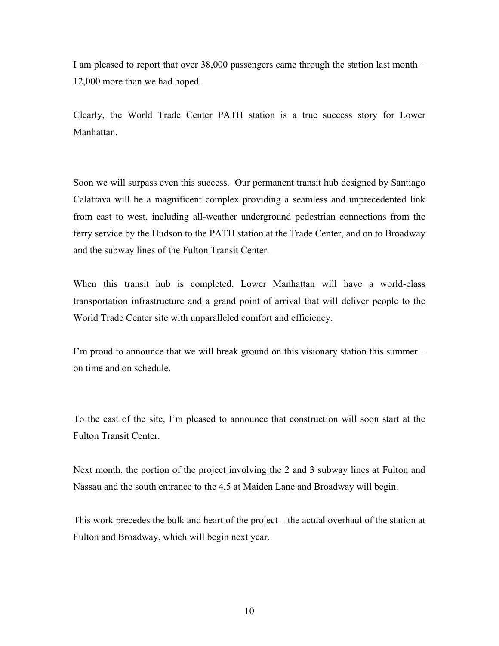I am pleased to report that over 38,000 passengers came through the station last month – 12,000 more than we had hoped.

Clearly, the World Trade Center PATH station is a true success story for Lower **Manhattan** 

Soon we will surpass even this success. Our permanent transit hub designed by Santiago Calatrava will be a magnificent complex providing a seamless and unprecedented link from east to west, including all-weather underground pedestrian connections from the ferry service by the Hudson to the PATH station at the Trade Center, and on to Broadway and the subway lines of the Fulton Transit Center.

When this transit hub is completed, Lower Manhattan will have a world-class transportation infrastructure and a grand point of arrival that will deliver people to the World Trade Center site with unparalleled comfort and efficiency.

I'm proud to announce that we will break ground on this visionary station this summer – on time and on schedule.

To the east of the site, I'm pleased to announce that construction will soon start at the Fulton Transit Center.

Next month, the portion of the project involving the 2 and 3 subway lines at Fulton and Nassau and the south entrance to the 4,5 at Maiden Lane and Broadway will begin.

This work precedes the bulk and heart of the project – the actual overhaul of the station at Fulton and Broadway, which will begin next year.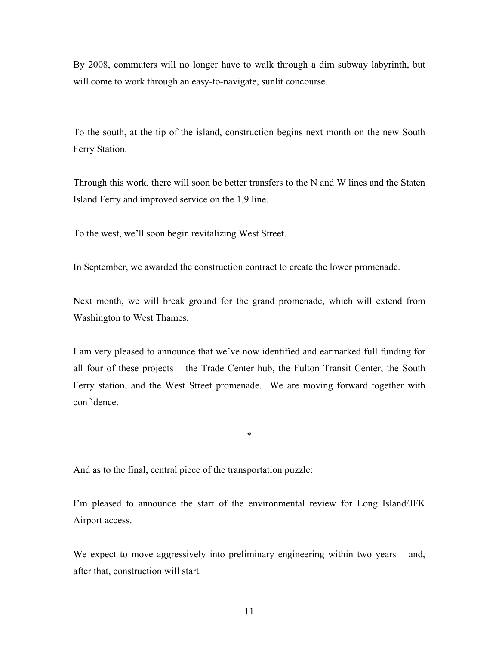By 2008, commuters will no longer have to walk through a dim subway labyrinth, but will come to work through an easy-to-navigate, sunlit concourse.

To the south, at the tip of the island, construction begins next month on the new South Ferry Station.

Through this work, there will soon be better transfers to the N and W lines and the Staten Island Ferry and improved service on the 1,9 line.

To the west, we'll soon begin revitalizing West Street.

In September, we awarded the construction contract to create the lower promenade.

Next month, we will break ground for the grand promenade, which will extend from Washington to West Thames.

I am very pleased to announce that we've now identified and earmarked full funding for all four of these projects – the Trade Center hub, the Fulton Transit Center, the South Ferry station, and the West Street promenade. We are moving forward together with confidence.

\*

And as to the final, central piece of the transportation puzzle:

I'm pleased to announce the start of the environmental review for Long Island/JFK Airport access.

We expect to move aggressively into preliminary engineering within two years – and, after that, construction will start.

11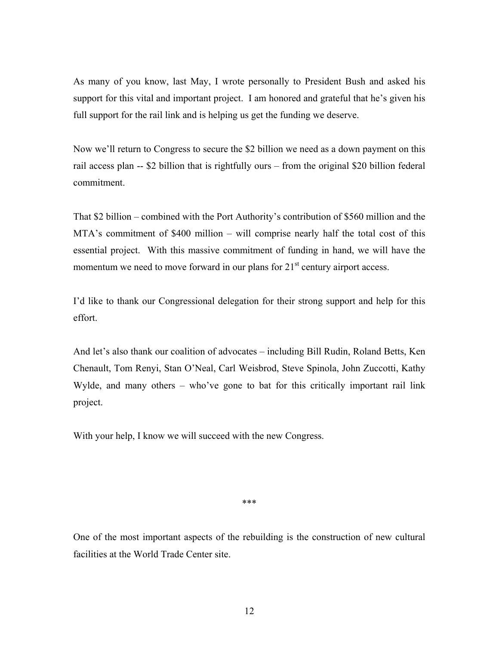As many of you know, last May, I wrote personally to President Bush and asked his support for this vital and important project. I am honored and grateful that he's given his full support for the rail link and is helping us get the funding we deserve.

Now we'll return to Congress to secure the \$2 billion we need as a down payment on this rail access plan -- \$2 billion that is rightfully ours – from the original \$20 billion federal commitment.

That \$2 billion – combined with the Port Authority's contribution of \$560 million and the MTA's commitment of \$400 million – will comprise nearly half the total cost of this essential project. With this massive commitment of funding in hand, we will have the momentum we need to move forward in our plans for  $21<sup>st</sup>$  century airport access.

I'd like to thank our Congressional delegation for their strong support and help for this effort.

And let's also thank our coalition of advocates – including Bill Rudin, Roland Betts, Ken Chenault, Tom Renyi, Stan O'Neal, Carl Weisbrod, Steve Spinola, John Zuccotti, Kathy Wylde, and many others – who've gone to bat for this critically important rail link project.

With your help, I know we will succeed with the new Congress.

\*\*\*

One of the most important aspects of the rebuilding is the construction of new cultural facilities at the World Trade Center site.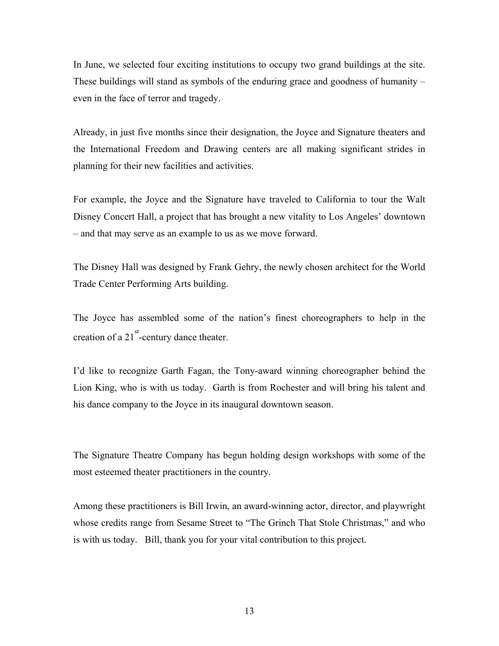In June, we selected four exciting institutions to occupy two grand buildings at the site. These buildings will stand as symbols of the enduring grace and goodness of humanity  $$ even in the face of terror and tragedy.

Already, in just five months since their designation, the Joyce and Signature theaters and the International Freedom and Drawing centers are all making significant strides in planning for their new facilities and activities.

For example, the Joyce and the Signature have traveled to California to tour the Walt Disney Concert Hall, a project that has brought a new vitality to Los Angeles' downtown – and that may serve as an example to us as we move forward.

The Disney Hall was designed by Frank Gehry, the newly chosen architect for the World Trade Center Performing Arts building.

The Joyce has assembled some of the nation's finest choreographers to help in the creation of a  $21<sup>st</sup>$ -century dance theater.

I'd like to recognize Garth Fagan, the Tony-award winning choreographer behind the Lion King, who is with us today. Garth is from Rochester and will bring his talent and his dance company to the Joyce in its inaugural downtown season.

The Signature Theatre Company has begun holding design workshops with some of the most esteemed theater practitioners in the country.

Among these practitioners is Bill Irwin, an award-winning actor, director, and playwright whose credits range from Sesame Street to "The Grinch That Stole Christmas," and who is with us today. Bill, thank you for your vital contribution to this project.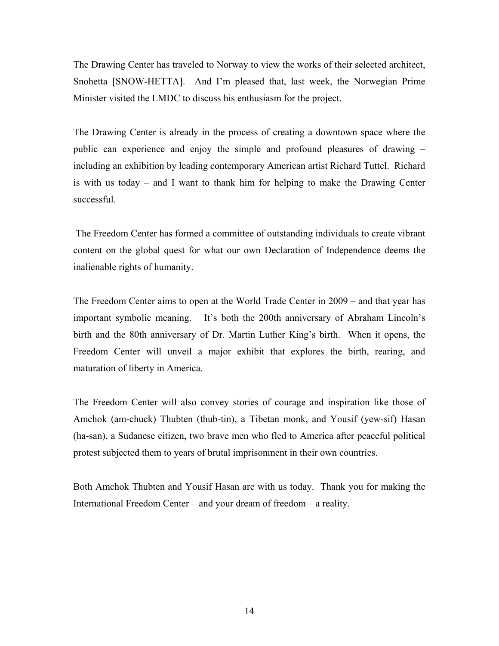The Drawing Center has traveled to Norway to view the works of their selected architect, Snohetta [SNOW-HETTA]. And I'm pleased that, last week, the Norwegian Prime Minister visited the LMDC to discuss his enthusiasm for the project.

The Drawing Center is already in the process of creating a downtown space where the public can experience and enjoy the simple and profound pleasures of drawing – including an exhibition by leading contemporary American artist Richard Tuttel. Richard is with us today – and I want to thank him for helping to make the Drawing Center successful.

 The Freedom Center has formed a committee of outstanding individuals to create vibrant content on the global quest for what our own Declaration of Independence deems the inalienable rights of humanity.

The Freedom Center aims to open at the World Trade Center in 2009 – and that year has important symbolic meaning. It's both the 200th anniversary of Abraham Lincoln's birth and the 80th anniversary of Dr. Martin Luther King's birth. When it opens, the Freedom Center will unveil a major exhibit that explores the birth, rearing, and maturation of liberty in America.

The Freedom Center will also convey stories of courage and inspiration like those of Amchok (am-chuck) Thubten (thub-tin), a Tibetan monk, and Yousif (yew-sif) Hasan (ha-san), a Sudanese citizen, two brave men who fled to America after peaceful political protest subjected them to years of brutal imprisonment in their own countries.

Both Amchok Thubten and Yousif Hasan are with us today. Thank you for making the International Freedom Center – and your dream of freedom – a reality.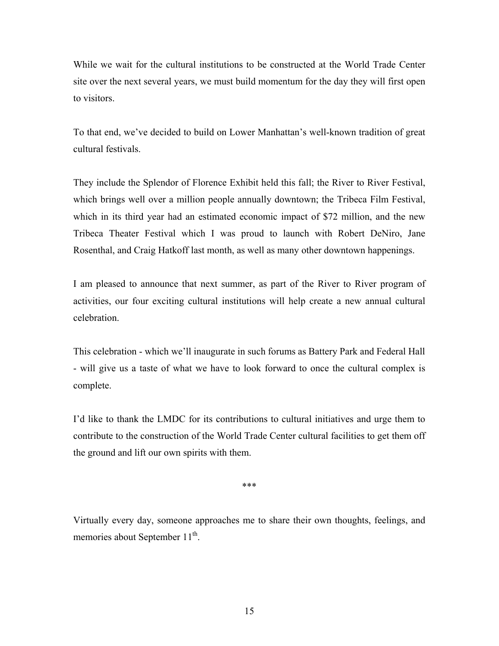While we wait for the cultural institutions to be constructed at the World Trade Center site over the next several years, we must build momentum for the day they will first open to visitors.

To that end, we've decided to build on Lower Manhattan's well-known tradition of great cultural festivals.

They include the Splendor of Florence Exhibit held this fall; the River to River Festival, which brings well over a million people annually downtown; the Tribeca Film Festival, which in its third year had an estimated economic impact of \$72 million, and the new Tribeca Theater Festival which I was proud to launch with Robert DeNiro, Jane Rosenthal, and Craig Hatkoff last month, as well as many other downtown happenings.

I am pleased to announce that next summer, as part of the River to River program of activities, our four exciting cultural institutions will help create a new annual cultural celebration.

This celebration - which we'll inaugurate in such forums as Battery Park and Federal Hall - will give us a taste of what we have to look forward to once the cultural complex is complete.

I'd like to thank the LMDC for its contributions to cultural initiatives and urge them to contribute to the construction of the World Trade Center cultural facilities to get them off the ground and lift our own spirits with them.

\*\*\*

Virtually every day, someone approaches me to share their own thoughts, feelings, and memories about September 11<sup>th</sup>.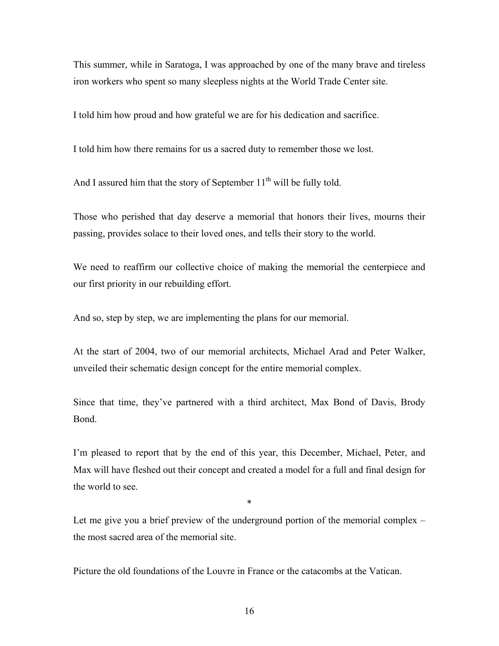This summer, while in Saratoga, I was approached by one of the many brave and tireless iron workers who spent so many sleepless nights at the World Trade Center site.

I told him how proud and how grateful we are for his dedication and sacrifice.

I told him how there remains for us a sacred duty to remember those we lost.

And I assured him that the story of September  $11<sup>th</sup>$  will be fully told.

Those who perished that day deserve a memorial that honors their lives, mourns their passing, provides solace to their loved ones, and tells their story to the world.

We need to reaffirm our collective choice of making the memorial the centerpiece and our first priority in our rebuilding effort.

And so, step by step, we are implementing the plans for our memorial.

At the start of 2004, two of our memorial architects, Michael Arad and Peter Walker, unveiled their schematic design concept for the entire memorial complex.

Since that time, they've partnered with a third architect, Max Bond of Davis, Brody Bond.

I'm pleased to report that by the end of this year, this December, Michael, Peter, and Max will have fleshed out their concept and created a model for a full and final design for the world to see.

\*

Let me give you a brief preview of the underground portion of the memorial complex – the most sacred area of the memorial site.

Picture the old foundations of the Louvre in France or the catacombs at the Vatican.

16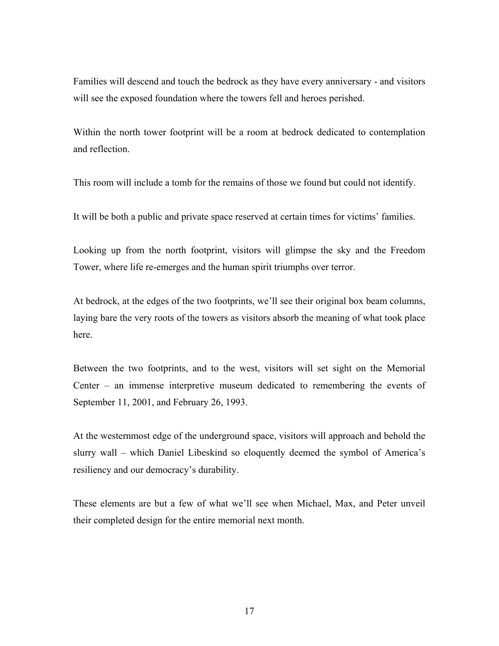Families will descend and touch the bedrock as they have every anniversary - and visitors will see the exposed foundation where the towers fell and heroes perished.

Within the north tower footprint will be a room at bedrock dedicated to contemplation and reflection.

This room will include a tomb for the remains of those we found but could not identify.

It will be both a public and private space reserved at certain times for victims' families.

Looking up from the north footprint, visitors will glimpse the sky and the Freedom Tower, where life re-emerges and the human spirit triumphs over terror.

At bedrock, at the edges of the two footprints, we'll see their original box beam columns, laying bare the very roots of the towers as visitors absorb the meaning of what took place here.

Between the two footprints, and to the west, visitors will set sight on the Memorial Center – an immense interpretive museum dedicated to remembering the events of September 11, 2001, and February 26, 1993.

At the westernmost edge of the underground space, visitors will approach and behold the slurry wall – which Daniel Libeskind so eloquently deemed the symbol of America's resiliency and our democracy's durability.

These elements are but a few of what we'll see when Michael, Max, and Peter unveil their completed design for the entire memorial next month.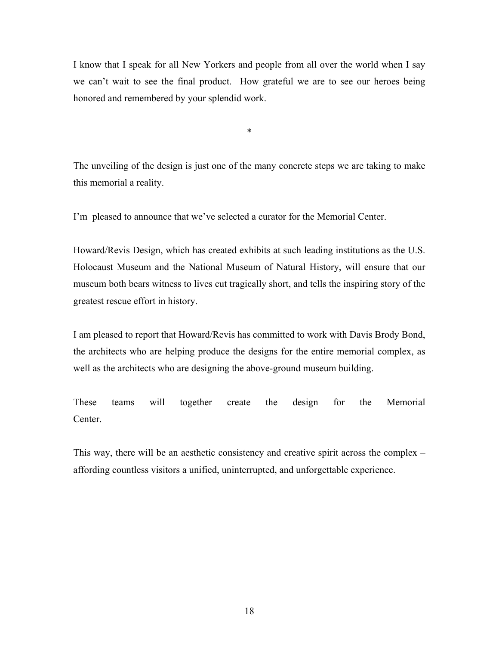I know that I speak for all New Yorkers and people from all over the world when I say we can't wait to see the final product. How grateful we are to see our heroes being honored and remembered by your splendid work.

The unveiling of the design is just one of the many concrete steps we are taking to make this memorial a reality.

\*

I'm pleased to announce that we've selected a curator for the Memorial Center.

Howard/Revis Design, which has created exhibits at such leading institutions as the U.S. Holocaust Museum and the National Museum of Natural History, will ensure that our museum both bears witness to lives cut tragically short, and tells the inspiring story of the greatest rescue effort in history.

I am pleased to report that Howard/Revis has committed to work with Davis Brody Bond, the architects who are helping produce the designs for the entire memorial complex, as well as the architects who are designing the above-ground museum building.

These teams will together create the design for the Memorial **Center** 

This way, there will be an aesthetic consistency and creative spirit across the complex – affording countless visitors a unified, uninterrupted, and unforgettable experience.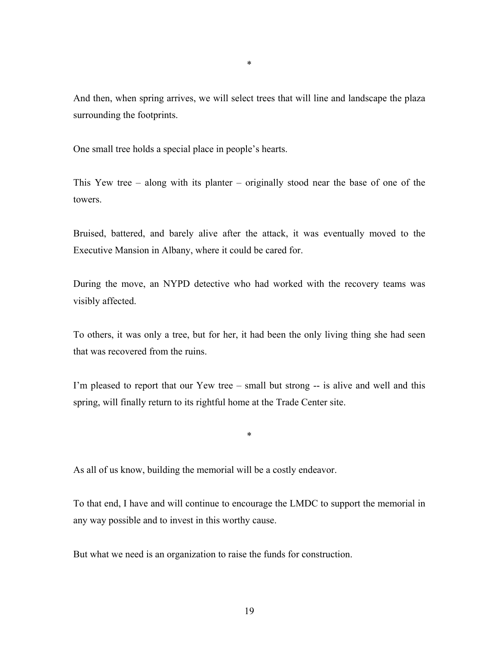And then, when spring arrives, we will select trees that will line and landscape the plaza surrounding the footprints.

One small tree holds a special place in people's hearts.

This Yew tree – along with its planter – originally stood near the base of one of the towers.

Bruised, battered, and barely alive after the attack, it was eventually moved to the Executive Mansion in Albany, where it could be cared for.

During the move, an NYPD detective who had worked with the recovery teams was visibly affected.

To others, it was only a tree, but for her, it had been the only living thing she had seen that was recovered from the ruins.

I'm pleased to report that our Yew tree – small but strong -- is alive and well and this spring, will finally return to its rightful home at the Trade Center site.

\*

As all of us know, building the memorial will be a costly endeavor.

To that end, I have and will continue to encourage the LMDC to support the memorial in any way possible and to invest in this worthy cause.

But what we need is an organization to raise the funds for construction.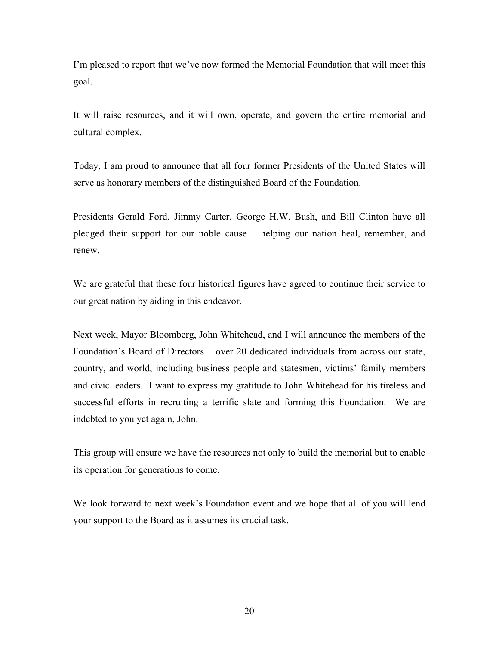I'm pleased to report that we've now formed the Memorial Foundation that will meet this goal.

It will raise resources, and it will own, operate, and govern the entire memorial and cultural complex.

Today, I am proud to announce that all four former Presidents of the United States will serve as honorary members of the distinguished Board of the Foundation.

Presidents Gerald Ford, Jimmy Carter, George H.W. Bush, and Bill Clinton have all pledged their support for our noble cause – helping our nation heal, remember, and renew.

We are grateful that these four historical figures have agreed to continue their service to our great nation by aiding in this endeavor.

Next week, Mayor Bloomberg, John Whitehead, and I will announce the members of the Foundation's Board of Directors – over 20 dedicated individuals from across our state, country, and world, including business people and statesmen, victims' family members and civic leaders. I want to express my gratitude to John Whitehead for his tireless and successful efforts in recruiting a terrific slate and forming this Foundation. We are indebted to you yet again, John.

This group will ensure we have the resources not only to build the memorial but to enable its operation for generations to come.

We look forward to next week's Foundation event and we hope that all of you will lend your support to the Board as it assumes its crucial task.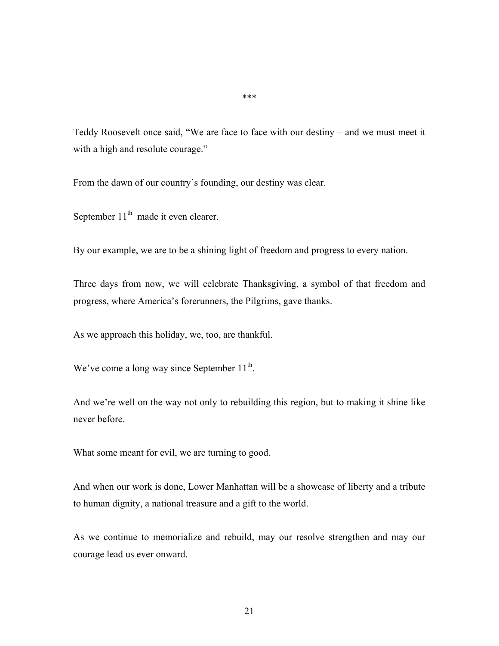Teddy Roosevelt once said, "We are face to face with our destiny – and we must meet it with a high and resolute courage."

From the dawn of our country's founding, our destiny was clear.

September  $11<sup>th</sup>$  made it even clearer.

By our example, we are to be a shining light of freedom and progress to every nation.

Three days from now, we will celebrate Thanksgiving, a symbol of that freedom and progress, where America's forerunners, the Pilgrims, gave thanks.

As we approach this holiday, we, too, are thankful.

We've come a long way since September  $11^{th}$ .

And we're well on the way not only to rebuilding this region, but to making it shine like never before.

What some meant for evil, we are turning to good.

And when our work is done, Lower Manhattan will be a showcase of liberty and a tribute to human dignity, a national treasure and a gift to the world.

As we continue to memorialize and rebuild, may our resolve strengthen and may our courage lead us ever onward.

\*\*\*